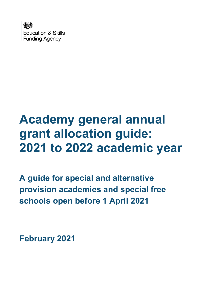

# **Academy general annual grant allocation guide: 2021 to 2022 academic year**

**A guide for special and alternative provision academies and special free schools open before 1 April 2021**

**February 2021**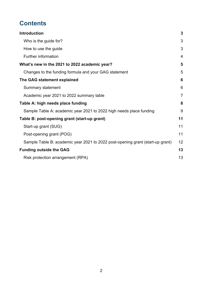# **Contents**

| <b>Introduction</b>                                                            | 3              |
|--------------------------------------------------------------------------------|----------------|
| Who is the guide for?                                                          | 3              |
| How to use the guide                                                           | 3              |
| <b>Further information</b>                                                     | 4              |
| What's new in the 2021 to 2022 academic year?                                  | 5              |
| Changes to the funding formula and your GAG statement                          | 5              |
| The GAG statement explained                                                    | 6              |
| Summary statement                                                              | 6              |
| Academic year 2021 to 2022 summary table                                       | $\overline{7}$ |
| Table A: high needs place funding                                              | 8              |
| Sample Table A: academic year 2021 to 2022 high needs place funding            | 9              |
| Table B: post-opening grant (start-up grant)                                   | 11             |
| Start-up grant (SUG)                                                           | 11             |
| Post-opening grant (POG)                                                       | 11             |
| Sample Table B: academic year 2021 to 2022 post-opening grant (start-up grant) | 12             |
| <b>Funding outside the GAG</b>                                                 | 13             |
| Risk protection arrangement (RPA)                                              | 13             |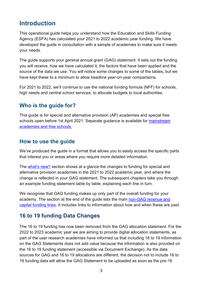# <span id="page-2-0"></span>**Introduction**

This operational guide helps you understand how the Education and Skills Funding Agency (ESFA) has calculated your 2021 to 2022 academic year funding. We have developed the guide in consultation with a sample of academies to make sure it meets your needs.

The guide supports your general annual grant (GAG) statement. It sets out the funding you will receive, how we have calculated it, the factors that have been applied and the source of the data we use. You will notice some changes to some of the tables, but we have kept these to a minimum to allow headline year-on-year comparisons.

For 2021 to 2022, we'll continue to use the national funding formula (NFF) for schools, high needs and central school services, to allocate budgets to local authorities.

#### <span id="page-2-1"></span>**Who is the guide for?**

This guide is for special and alternative provision (AP) academies and special free schools open before 1st April 2021. Separate guidance is available for [mainstream](https://www.gov.uk/guidance/academies-general-annual-grant-allocation-guides-2020-to-2021)  [academies and free schools.](https://www.gov.uk/guidance/academies-general-annual-grant-allocation-guides-2020-to-2021)

#### <span id="page-2-2"></span>**How to use the guide**

We've produced the guide in a format that allows you to easily access the specific parts that interest you or areas where you require more detailed information.

The w[hat's new?](#page-4-0) section shows at a glance the changes to funding for special and alternative provision academies in the 2021 to 2022 academic year, and where the change is reflected in your GAG statement. The subsequent chapters take you through an example funding statement table by table, explaining each line in turn.

We recognise that GAG funding makes up only part of the overall funding for your academy. The section at the end of the guide lists the main [non-GAG revenue and](#page-12-0)  [capital funding lines.](#page-12-0) It includes links to information about how and when these are paid.

## **16 to 19 funding Data Changes**

The 16 to 19 funding has now been removed from the GAG allocation statement. For the 2022 to 2023 academic year we are aiming to provide digital allocation statements, as part of the user research academies have informed us that including 16 to 19 information on the GAG Statements does not add value because the information is also provided on the 16 to 19 funding statement (accessible via Document Exchange). As the data sources for GAG and 16 to 19 allocations are different, the decision not to include 16 to 19 funding data will allow the GAG Statement to be uploaded as soon as the pre-16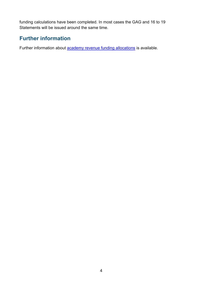funding calculations have been completed. In most cases the GAG and 16 to 19 Statements will be issued around the same time.

## <span id="page-3-0"></span>**Further information**

Further information about **[academy revenue funding allocations](https://www.gov.uk/guidance/academies-funding-allocations)** is available.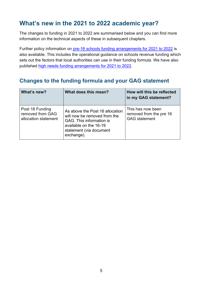# <span id="page-4-0"></span>**What's new in the 2021 to 2022 academic year?**

The changes to funding in 2021 to 2022 are summarised below and you can find more information on the technical aspects of these in subsequent chapters.

Further policy information on [pre-16 schools funding arrangements](https://www.gov.uk/government/publications/pre-16-schools-funding-local-authority-guidance-for-2021-to-2022) for 2021 to 2022 is also available. This includes the operational guidance on schools revenue funding which sets out the factors that local authorities can use in their funding formula. We have also published [high needs funding arrangements for 2021](https://www.gov.uk/government/publications/high-needs-funding-arrangements-2021-to-2022) to 2022.

#### <span id="page-4-1"></span>**Changes to the funding formula and your GAG statement**

| What's new?                                                 | What does this mean?                                                                                                                                           | How will this be reflected<br>in my GAG statement?                   |
|-------------------------------------------------------------|----------------------------------------------------------------------------------------------------------------------------------------------------------------|----------------------------------------------------------------------|
| Post 16 Funding<br>removed from GAG<br>allocation statement | As above the Post 16 allocation<br>will now be removed from the<br>GAG. This information is<br>available on the 16-19<br>statement (via document<br>exchange). | This has now been<br>removed from the pre 16<br><b>GAG</b> statement |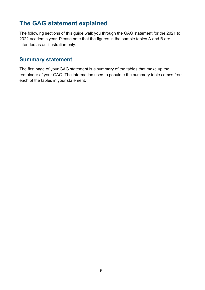# <span id="page-5-2"></span><span id="page-5-0"></span>**The GAG statement explained**

The following sections of this guide walk you through the GAG statement for the 2021 to 2022 academic year. Please note that the figures in the sample tables A and B are intended as an illustration only.

#### <span id="page-5-1"></span>**Summary statement**

The first page of your GAG statement is a summary of the tables that make up the remainder of your GAG. The information used to populate the summary table comes from each of the tables in your statement.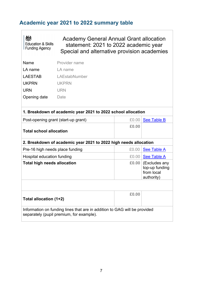# <span id="page-6-0"></span>**Academic year 2021 to 2022 summary table**

 $\sqrt{ }$ 

| <b>Education &amp; Skills</b><br><b>Funding Agency</b>                                                                | <b>Academy General Annual Grant allocation</b><br>statement: 2021 to 2022 academic year<br>Special and alternative provision academies |       |                                                             |
|-----------------------------------------------------------------------------------------------------------------------|----------------------------------------------------------------------------------------------------------------------------------------|-------|-------------------------------------------------------------|
| Name                                                                                                                  | Provider name                                                                                                                          |       |                                                             |
| LA name                                                                                                               | LA name                                                                                                                                |       |                                                             |
| <b>LAESTAB</b>                                                                                                        | LAEstabNumber                                                                                                                          |       |                                                             |
| <b>UKPRN</b>                                                                                                          | <b>UKPRN</b>                                                                                                                           |       |                                                             |
| <b>URN</b>                                                                                                            | <b>URN</b>                                                                                                                             |       |                                                             |
| Opening date                                                                                                          | Date                                                                                                                                   |       |                                                             |
|                                                                                                                       | 1. Breakdown of academic year 2021 to 2022 school allocation                                                                           |       |                                                             |
| Post-opening grant (start-up grant)                                                                                   |                                                                                                                                        | £0.00 | <b>See Table B</b>                                          |
| <b>Total school allocation</b>                                                                                        |                                                                                                                                        | £0.00 |                                                             |
| 2. Breakdown of academic year 2021 to 2022 high needs allocation                                                      |                                                                                                                                        |       |                                                             |
| Pre-16 high needs place funding                                                                                       |                                                                                                                                        | £0.00 | <b>See Table A</b>                                          |
| Hospital education funding                                                                                            |                                                                                                                                        |       | £0.00 See Table A                                           |
| <b>Total high needs allocation</b>                                                                                    |                                                                                                                                        | £0.00 | (Excludes any<br>top-up funding<br>from local<br>authority) |
|                                                                                                                       |                                                                                                                                        |       |                                                             |
| Total allocation (1+2)                                                                                                |                                                                                                                                        | £0.00 |                                                             |
| Information on funding lines that are in addition to GAG will be provided<br>separately (pupil premium, for example). |                                                                                                                                        |       |                                                             |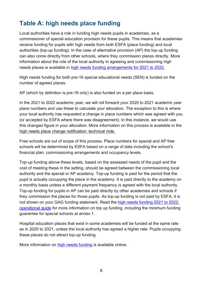# <span id="page-7-0"></span>**Table A: high needs place funding**

Local authorities have a role in funding high needs pupils in academies, as a commissioner of special education provision for these pupils. This means that academies receive funding for pupils with high needs from both ESFA (place funding) and local authorities (top-up funding). In the case of alternative provision (AP) the top-up funding can also come directly from other schools, where they commission places directly. More information about the role of the local authority in agreeing and commissioning high needs places is available in [high needs funding arrangements for 2021](https://www.gov.uk/government/publications/high-needs-funding-arrangements-2021-to-2022) to 2022.

High needs funding for both pre-16 special educational needs (SEN) is funded on the number of agreed places.

AP (which by definition is pre-16 only) is also funded on a per place basis.

In the 2021 to 2022 academic year, we will roll forward your 2020 to 2021 academic year place numbers and use these to calculate your allocation. The exception to this is where your local authority has requested a change in place numbers which was agreed with you (or accepted by ESFA where there was disagreement). In this instance, we would use this changed figure in your allocation. More information on this process is available in the [high needs place change notification: technical note.](https://www.gov.uk/government/publications/high-needs-funding-arrangements-2021-to-2022/high-needs-place-change-process-academic-year-2021-to-2022)

Free schools are out of scope of this process. Place numbers for special and AP free schools will be determined by ESFA based on a range of data including the school's financial plan, commissioning arrangements and occupancy levels.

Top-up funding above these levels, based on the assessed needs of the pupil and the cost of meeting these in the setting, should be agreed between the commissioning local authority and the special or AP academy. Top-up funding is paid for the period that the pupil is actually occupying the place in the academy. It is paid directly to the academy on a monthly basis unless a different payment frequency is agreed with the local authority. Top-up funding for pupils in AP can be paid directly by other academies and schools if they commission the places for those pupils. As top-up funding is not paid by ESFA, it is not shown on your GAG funding statement. Read the [high needs funding 2021](https://www.gov.uk/government/publications/high-needs-funding-arrangements-2021-to-2022) to 2022: [operational](https://www.gov.uk/government/publications/high-needs-funding-arrangements-2021-to-2022) guide for more information on top up funding, including the minimum funding guarantee for special schools at annex 1.

Hospital education places that exist in some academies will be funded at the same rate as in 2020 to 2021, unless the local authority has agreed a higher rate. Pupils occupying these places do not attract top-up funding.

More information on [high needs funding](https://www.gov.uk/government/collections/high-needs-funding) is available online.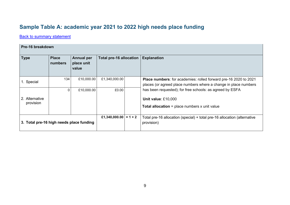# **Sample Table A: academic year 2021 to 2022 high needs place funding**

**[Back to summary statement](#page-5-2)** 

<span id="page-8-0"></span>

| Pre-16 breakdown                         |                         |                                          |                                |           |                                                                                                                                            |
|------------------------------------------|-------------------------|------------------------------------------|--------------------------------|-----------|--------------------------------------------------------------------------------------------------------------------------------------------|
| <b>Type</b>                              | <b>Place</b><br>numbers | <b>Annual per</b><br>place unit<br>value | <b>Total pre-16 allocation</b> |           | <b>Explanation</b>                                                                                                                         |
| 1. Special                               | 134                     | £10,000.00                               | £1,340,000.00                  |           | <b>Place numbers:</b> for academies: rolled forward pre-16 2020 to 2021<br>places (or agreed place numbers where a change in place numbers |
|                                          | 0                       | £10,000.00                               | £0.00                          |           | has been requested); for free schools: as agreed by ESFA                                                                                   |
| 2. Alternative                           |                         |                                          |                                |           | Unit value: £10,000                                                                                                                        |
| provision                                |                         |                                          |                                |           | <b>Total allocation</b> = place numbers $x$ unit value                                                                                     |
| 3. Total pre-16 high needs place funding |                         |                                          | £1,340,000.00                  | $= 1 + 2$ | Total pre-16 allocation (special) + total pre-16 allocation (alternative<br>provision)                                                     |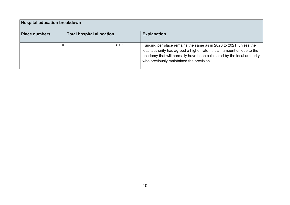| <b>Hospital education breakdown</b> |                                  |                                                                                                                                                                                                                                                                    |
|-------------------------------------|----------------------------------|--------------------------------------------------------------------------------------------------------------------------------------------------------------------------------------------------------------------------------------------------------------------|
| <b>Place numbers</b>                | <b>Total hospital allocation</b> | <b>Explanation</b>                                                                                                                                                                                                                                                 |
|                                     | £0.00                            | Funding per place remains the same as in 2020 to 2021, unless the<br>local authority has agreed a higher rate. It is an amount unique to the<br>academy that will normally have been calculated by the local authority<br>who previously maintained the provision. |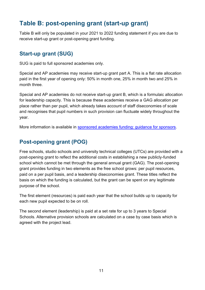# <span id="page-10-0"></span>**Table B: post-opening grant (start-up grant)**

Table B will only be populated in your 2021 to 2022 funding statement if you are due to receive start-up grant or post-opening grant funding.

#### <span id="page-10-1"></span>**Start-up grant (SUG)**

SUG is paid to full sponsored academies only.

Special and AP academies may receive start-up grant part A. This is a flat rate allocation paid in the first year of opening only: 50% in month one, 25% in month two and 25% in month three.

Special and AP academies do not receive start-up grant B, which is a formulaic allocation for leadership capacity. This is because these academies receive a GAG allocation per place rather than per pupil, which already takes account of staff diseconomies of scale and recognises that pupil numbers in such provision can fluctuate widely throughout the year.

More information is available in [sponsored academies funding: guidance](https://www.gov.uk/government/publications/sponsored-academies-funding-guidance-for-sponsors) for sponsors.

## <span id="page-10-2"></span>**Post-opening grant (POG)**

Free schools, studio schools and university technical colleges (UTCs) are provided with a post-opening grant to reflect the additional costs in establishing a new publicly-funded school which cannot be met through the general annual grant (GAG). The post-opening grant provides funding in two elements as the free school grows: per pupil resources, paid on a per pupil basis, and a leadership diseconomies grant. These titles reflect the basis on which the funding is calculated, but the grant can be spent on any legitimate purpose of the school.

The first element (resources) is paid each year that the school builds up to capacity for each new pupil expected to be on roll.

The second element (leadership) is paid at a set rate for up to 3 years to Special Schools. Alternative provision schools are calculated on a case by case basis which is agreed with the project lead.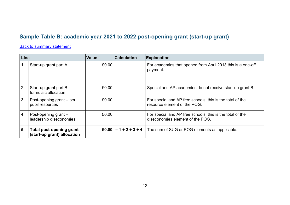## **Sample Table B: academic year 2021 to 2022 post-opening grant (start-up grant)**

#### **[Back to summary statement](#page-5-2)**

<span id="page-11-0"></span>

| Line             |                                                         | <b>Value</b> | <b>Calculation</b> | <b>Explanation</b>                                                                            |
|------------------|---------------------------------------------------------|--------------|--------------------|-----------------------------------------------------------------------------------------------|
|                  | Start-up grant part A                                   | £0.00        |                    | For academies that opened from April 2013 this is a one-off<br>payment.                       |
| 2.               | Start-up grant part $B -$<br>formulaic allocation       | £0.00        |                    | Special and AP academies do not receive start-up grant B.                                     |
| 3.               | Post-opening grant $-$ per<br>pupil resources           | £0.00        |                    | For special and AP free schools, this is the total of the<br>resource element of the POG.     |
| $\overline{4}$ . | Post-opening grant $-$<br>leadership diseconomies       | £0.00        |                    | For special and AP free schools, this is the total of the<br>diseconomies element of the POG. |
| 5.               | Total post-opening grant<br>(start-up grant) allocation |              |                    | £0.00 $= 1 + 2 + 3 + 4$ The sum of SUG or POG elements as applicable.                         |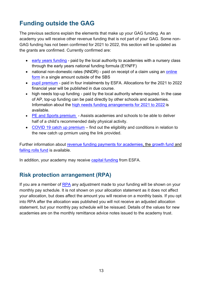# <span id="page-12-0"></span>**Funding outside the GAG**

The previous sections explain the elements that make up your GAG funding. As an academy you will receive other revenue funding that is not part of your GAG. Some non-GAG funding has not been confirmed for 2021 to 2022, this section will be updated as the grants are confirmed. Currently confirmed are:

- [early years funding](https://www.gov.uk/schools-colleges-childrens-services/early-years) paid by the local authority to academies with a nursery class through the early years national funding formula (EYNFF)
- national non-domestic rates (NNDR) paid on receipt of a claim using an online [form](https://www.gov.uk/academies-funding-claims) in a single amount outside of the SBS
- [pupil premium](https://www.gov.uk/government/publications/pupil-premium-allocations-and-conditions-of-grant-2020-to-2021) paid in four instalments by ESFA. Allocations for the 2021 to 2022 financial year will be published in due course.
- high needs top-up funding paid by the local authority where required. In the case of AP, top-up funding can be paid directly by other schools and academies. Information about the [high needs funding arrangements for 2021](https://www.gov.uk/government/publications/high-needs-funding-arrangements-2021-to-2022) to 2022 is available.
- PE and [Sports premium](https://www.gov.uk/guidance/pe-and-sport-premium-for-primary-schools)  Assists academies and schools to be able to deliver half of a child's recommended daily physical activity.
- [COVID 19 catch up premium](https://www.gov.uk/government/publications/catch-up-premium-coronavirus-covid-19) find out the eligibility and conditions in relation to the new catch up prmium using the link provided.

Further information about [revenue funding payments for academies,](https://www.gov.uk/guidance/funding-payments-for-academies) the [growth fund](https://www.gov.uk/government/publications/pre-16-schools-funding-local-authority-guidance-for-2020-to-2021/growth-and-falling-rolls-guidance-2020-to-2021) and [falling rolls fund](https://www.gov.uk/government/publications/pre-16-schools-funding-local-authority-guidance-for-2020-to-2021/growth-and-falling-rolls-guidance-2020-to-2021) is available.

In addition, your academy may receive [capital funding](https://www.gov.uk/guidance/school-capital-funding) from ESFA.

#### <span id="page-12-1"></span>**Risk protection arrangement (RPA)**

If you are a member of [RPA](https://www.gov.uk/guidance/academies-risk-protection-arrangement-rpa) any adjustment made to your funding will be shown on your monthly pay schedule. It is not shown on your allocation statement as it does not affect your allocation, but does affect the amount you will receive on a monthly basis. If you opt into RPA after the allocation was published you will not receive an adjusted allocation statement, but your monthly pay schedule will be reissued. Details of the values for new academies are on the monthly remittance advice notes issued to the academy trust.